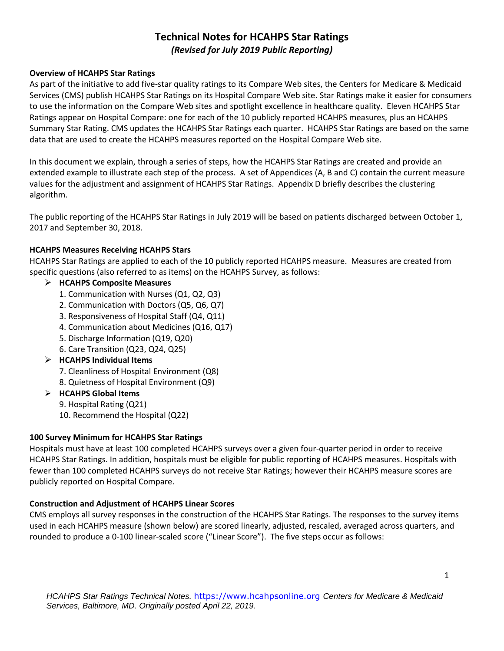# **Technical Notes for HCAHPS Star Ratings**  *(Revised for July 2019 Public Reporting)*

#### **Overview of HCAHPS Star Ratings**

As part of the initiative to add five-star quality ratings to its Compare Web sites, the Centers for Medicare & Medicaid Services (CMS) publish HCAHPS Star Ratings on its Hospital Compare Web site. Star Ratings make it easier for consumers to use the information on the Compare Web sites and spotlight excellence in healthcare quality. Eleven HCAHPS Star Ratings appear on Hospital Compare: one for each of the 10 publicly reported HCAHPS measures, plus an HCAHPS Summary Star Rating. CMS updates the HCAHPS Star Ratings each quarter. HCAHPS Star Ratings are based on the same data that are used to create the HCAHPS measures reported on the Hospital Compare Web site.

In this document we explain, through a series of steps, how the HCAHPS Star Ratings are created and provide an extended example to illustrate each step of the process. A set of Appendices (A, B and C) contain the current measure values for the adjustment and assignment of HCAHPS Star Ratings. Appendix D briefly describes the clustering algorithm.

The public reporting of the HCAHPS Star Ratings in July 2019 will be based on patients discharged between October 1, 2017 and September 30, 2018.

### **HCAHPS Measures Receiving HCAHPS Stars**

HCAHPS Star Ratings are applied to each of the 10 publicly reported HCAHPS measure. Measures are created from specific questions (also referred to as items) on the HCAHPS Survey, as follows:

### **HCAHPS Composite Measures**

- 1. Communication with Nurses (Q1, Q2, Q3)
- 2. Communication with Doctors (Q5, Q6, Q7)
- 3. Responsiveness of Hospital Staff (Q4, Q11)
- 4. Communication about Medicines (Q16, Q17)
- 5. Discharge Information (Q19, Q20)
- 6. Care Transition (Q23, Q24, Q25)
- **HCAHPS Individual Items** 
	- 7. Cleanliness of Hospital Environment (Q8)
	- 8. Quietness of Hospital Environment (Q9)
- **HCAHPS Global Items** 
	- 9. Hospital Rating (Q21)
	- 10. Recommend the Hospital (Q22)

#### **100 Survey Minimum for HCAHPS Star Ratings**

Hospitals must have at least 100 completed HCAHPS surveys over a given four-quarter period in order to receive HCAHPS Star Ratings. In addition, hospitals must be eligible for public reporting of HCAHPS measures. Hospitals with fewer than 100 completed HCAHPS surveys do not receive Star Ratings; however their HCAHPS measure scores are publicly reported on Hospital Compare.

#### **Construction and Adjustment of HCAHPS Linear Scores**

CMS employs all survey responses in the construction of the HCAHPS Star Ratings. The responses to the survey items used in each HCAHPS measure (shown below) are scored linearly, adjusted, rescaled, averaged across quarters, and rounded to produce a 0-100 linear-scaled score ("Linear Score"). The five steps occur as follows: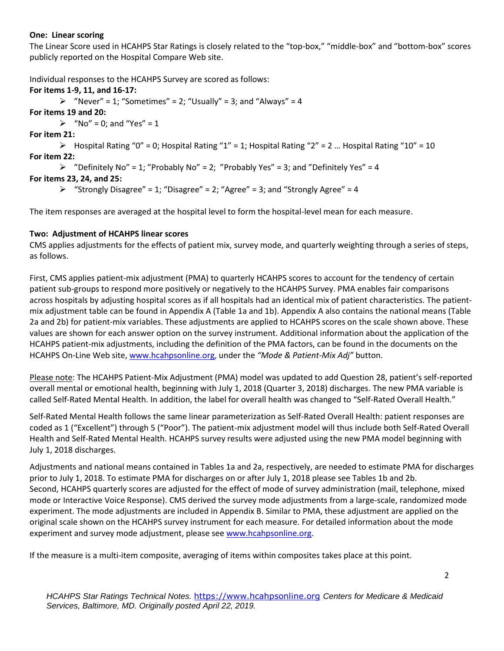#### **One: Linear scoring**

The Linear Score used in HCAHPS Star Ratings is closely related to the "top-box," "middle-box" and "bottom-box" scores publicly reported on the Hospital Compare Web site.

Individual responses to the HCAHPS Survey are scored as follows:

**For items 1-9, 11, and 16-17:**   $\triangleright$  "Never" = 1; "Sometimes" = 2; "Usually" = 3; and "Always" = 4 **For items 19 and 20:**   $\triangleright$  "No" = 0; and "Yes" = 1 **For item 21:**   $\triangleright$  Hospital Rating "0" = 0; Hospital Rating "1" = 1; Hospital Rating "2" = 2 ... Hospital Rating "10" = 10 **For item 22:**   $\triangleright$  "Definitely No" = 1; "Probably No" = 2; "Probably Yes" = 3; and "Definitely Yes" = 4 **For items 23, 24, and 25:**   $\triangleright$  "Strongly Disagree" = 1; "Disagree" = 2; "Agree" = 3; and "Strongly Agree" = 4

The item responses are averaged at the hospital level to form the hospital-level mean for each measure.

## **Two: Adjustment of HCAHPS linear scores**

CMS applies adjustments for the effects of patient mix, survey mode, and quarterly weighting through a series of steps, as follows.

First, CMS applies patient-mix adjustment (PMA) to quarterly HCAHPS scores to account for the tendency of certain patient sub-groups to respond more positively or negatively to the HCAHPS Survey. PMA enables fair comparisons across hospitals by adjusting hospital scores as if all hospitals had an identical mix of patient characteristics. The patientmix adjustment table can be found in Appendix A (Table 1a and 1b). Appendix A also contains the national means (Table 2a and 2b) for patient-mix variables. These adjustments are applied to HCAHPS scores on the scale shown above. These values are shown for each answer option on the survey instrument. Additional information about the application of the HCAHPS patient-mix adjustments, including the definition of the PMA factors, can be found in the documents on the HCAHPS On-Line Web site, [www.hcahpsonline.org,](http://www.hcahpsonline.org/) under the *"Mode & Patient-Mix Adj"* button.

Please note: The HCAHPS Patient-Mix Adjustment (PMA) model was updated to add Question 28, patient's self-reported overall mental or emotional health, beginning with July 1, 2018 (Quarter 3, 2018) discharges. The new PMA variable is called Self-Rated Mental Health. In addition, the label for overall health was changed to "Self-Rated Overall Health."

Self-Rated Mental Health follows the same linear parameterization as Self-Rated Overall Health: patient responses are coded as 1 ("Excellent") through 5 ("Poor"). The patient-mix adjustment model will thus include both Self-Rated Overall Health and Self-Rated Mental Health. HCAHPS survey results were adjusted using the new PMA model beginning with July 1, 2018 discharges.

Adjustments and national means contained in Tables 1a and 2a, respectively, are needed to estimate PMA for discharges prior to July 1, 2018. To estimate PMA for discharges on or after July 1, 2018 please see Tables 1b and 2b. Second, HCAHPS quarterly scores are adjusted for the effect of mode of survey administration (mail, telephone, mixed mode or Interactive Voice Response). CMS derived the survey mode adjustments from a large-scale, randomized mode experiment. The mode adjustments are included in Appendix B. Similar to PMA, these adjustment are applied on the original scale shown on the HCAHPS survey instrument for each measure. For detailed information about the mode experiment and survey mode adjustment, please see [www.hcahpsonline.org.](http://www.hcahpsonline.org/)

If the measure is a multi-item composite, averaging of items within composites takes place at this point.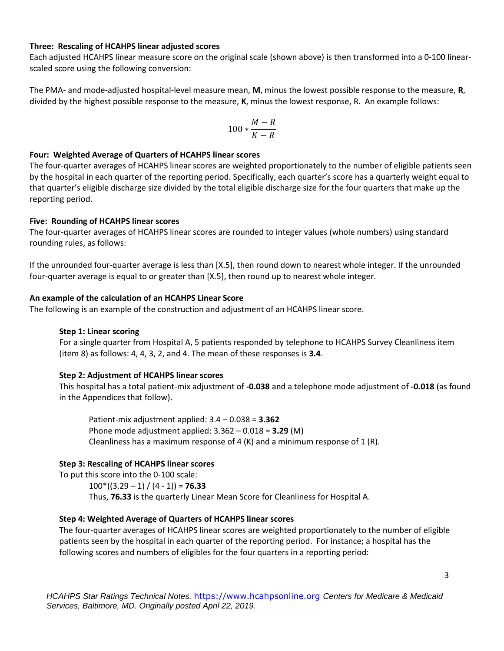#### **Three: Rescaling of HCAHPS linear adjusted scores**

Each adjusted HCAHPS linear measure score on the original scale (shown above) is then transformed into a 0-100 linearscaled score using the following conversion:

The PMA- and mode-adjusted hospital-level measure mean, **M**, minus the lowest possible response to the measure, **R**, divided by the highest possible response to the measure, **K**, minus the lowest response, R. An example follows:

$$
100*\frac{M-R}{K-R}
$$

#### **Four: Weighted Average of Quarters of HCAHPS linear scores**

The four-quarter averages of HCAHPS linear scores are weighted proportionately to the number of eligible patients seen by the hospital in each quarter of the reporting period. Specifically, each quarter's score has a quarterly weight equal to that quarter's eligible discharge size divided by the total eligible discharge size for the four quarters that make up the reporting period.

#### **Five: Rounding of HCAHPS linear scores**

The four-quarter averages of HCAHPS linear scores are rounded to integer values (whole numbers) using standard rounding rules, as follows:

If the unrounded four-quarter average is less than [X.5], then round down to nearest whole integer. If the unrounded four-quarter average is equal to or greater than [X.5], then round up to nearest whole integer.

#### **An example of the calculation of an HCAHPS Linear Score**

The following is an example of the construction and adjustment of an HCAHPS linear score.

#### **Step 1: Linear scoring**

For a single quarter from Hospital A, 5 patients responded by telephone to HCAHPS Survey Cleanliness item (item 8) as follows: 4, 4, 3, 2, and 4. The mean of these responses is **3.4**.

#### **Step 2: Adjustment of HCAHPS linear scores**

This hospital has a total patient-mix adjustment of **-0.038** and a telephone mode adjustment of **-0.018** (as found in the Appendices that follow).

Patient-mix adjustment applied: 3.4 – 0.038 = **3.362**  Phone mode adjustment applied: 3.362 – 0.018 = **3.29** (M) Cleanliness has a maximum response of 4  $(K)$  and a minimum response of 1  $(R)$ .

#### **Step 3: Rescaling of HCAHPS linear scores**

To put this score into the 0-100 scale: 100\*((3.29 – 1) / (4 - 1)) = **76.33** Thus, **76.33** is the quarterly Linear Mean Score for Cleanliness for Hospital A.

#### **Step 4: Weighted Average of Quarters of HCAHPS linear scores**

The four-quarter averages of HCAHPS linear scores are weighted proportionately to the number of eligible patients seen by the hospital in each quarter of the reporting period. For instance; a hospital has the following scores and numbers of eligibles for the four quarters in a reporting period: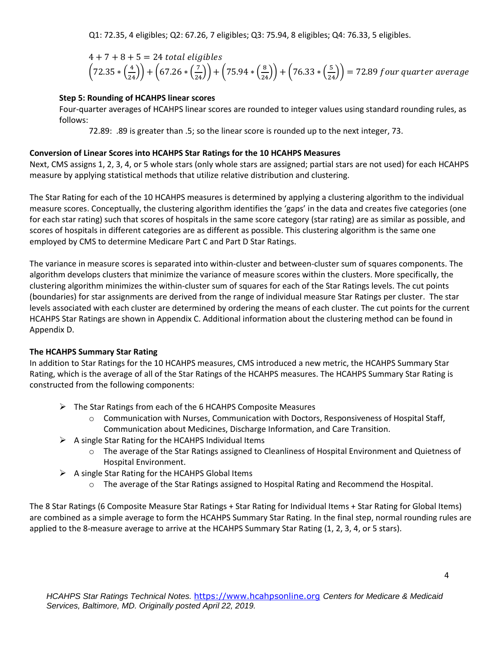Q1: 72.35, 4 eligibles; Q2: 67.26, 7 eligibles; Q3: 75.94, 8 eligibles; Q4: 76.33, 5 eligibles.

$$
4 + 7 + 8 + 5 = 24
$$
 total eligibles  
 $\left(72.35 * \left(\frac{4}{24}\right)\right) + \left(67.26 * \left(\frac{7}{24}\right)\right) + \left(75.94 * \left(\frac{8}{24}\right)\right) + \left(76.33 * \left(\frac{5}{24}\right)\right) = 72.89$  four quarter average

### **Step 5: Rounding of HCAHPS linear scores**

Four-quarter averages of HCAHPS linear scores are rounded to integer values using standard rounding rules, as follows:

72.89: .89 is greater than .5; so the linear score is rounded up to the next integer, 73.

### **Conversion of Linear Scores into HCAHPS Star Ratings for the 10 HCAHPS Measures**

Next, CMS assigns 1, 2, 3, 4, or 5 whole stars (only whole stars are assigned; partial stars are not used) for each HCAHPS measure by applying statistical methods that utilize relative distribution and clustering.

The Star Rating for each of the 10 HCAHPS measures is determined by applying a clustering algorithm to the individual measure scores. Conceptually, the clustering algorithm identifies the 'gaps' in the data and creates five categories (one for each star rating) such that scores of hospitals in the same score category (star rating) are as similar as possible, and scores of hospitals in different categories are as different as possible. This clustering algorithm is the same one employed by CMS to determine Medicare Part C and Part D Star Ratings.

The variance in measure scores is separated into within-cluster and between-cluster sum of squares components. The algorithm develops clusters that minimize the variance of measure scores within the clusters. More specifically, the clustering algorithm minimizes the within-cluster sum of squares for each of the Star Ratings levels. The cut points (boundaries) for star assignments are derived from the range of individual measure Star Ratings per cluster. The star levels associated with each cluster are determined by ordering the means of each cluster. The cut points for the current HCAHPS Star Ratings are shown in Appendix C. Additional information about the clustering method can be found in Appendix D.

### **The HCAHPS Summary Star Rating**

In addition to Star Ratings for the 10 HCAHPS measures, CMS introduced a new metric, the HCAHPS Summary Star Rating, which is the average of all of the Star Ratings of the HCAHPS measures. The HCAHPS Summary Star Rating is constructed from the following components:

- $\triangleright$  The Star Ratings from each of the 6 HCAHPS Composite Measures
	- $\circ$  Communication with Nurses, Communication with Doctors, Responsiveness of Hospital Staff, Communication about Medicines, Discharge Information, and Care Transition.
- $\triangleright$  A single Star Rating for the HCAHPS Individual Items
	- o The average of the Star Ratings assigned to Cleanliness of Hospital Environment and Quietness of Hospital Environment.
- $\triangleright$  A single Star Rating for the HCAHPS Global Items
	- o The average of the Star Ratings assigned to Hospital Rating and Recommend the Hospital.

The 8 Star Ratings (6 Composite Measure Star Ratings + Star Rating for Individual Items + Star Rating for Global Items) are combined as a simple average to form the HCAHPS Summary Star Rating. In the final step, normal rounding rules are applied to the 8-measure average to arrive at the HCAHPS Summary Star Rating (1, 2, 3, 4, or 5 stars).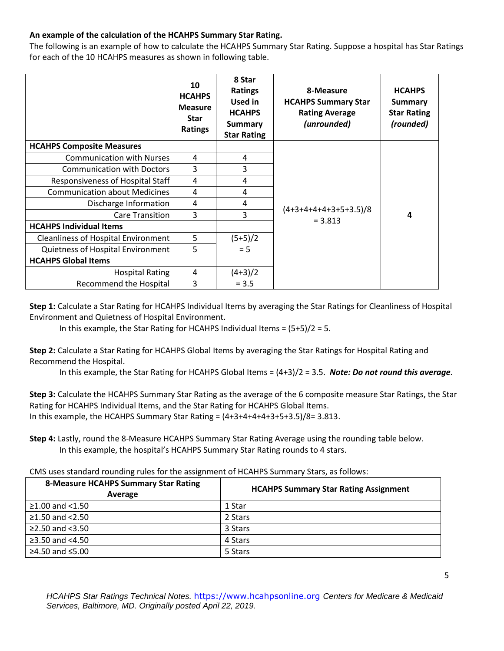### **An example of the calculation of the HCAHPS Summary Star Rating.**

The following is an example of how to calculate the HCAHPS Summary Star Rating. Suppose a hospital has Star Ratings for each of the 10 HCAHPS measures as shown in following table.

|                                            | 10<br><b>HCAHPS</b><br><b>Measure</b><br><b>Star</b><br><b>Ratings</b> | 8 Star<br><b>Ratings</b><br>Used in<br><b>HCAHPS</b><br><b>Summary</b><br><b>Star Rating</b> | 8-Measure<br><b>HCAHPS Summary Star</b><br><b>Rating Average</b><br>(unrounded) | <b>HCAHPS</b><br>Summary<br><b>Star Rating</b><br>(rounded) |
|--------------------------------------------|------------------------------------------------------------------------|----------------------------------------------------------------------------------------------|---------------------------------------------------------------------------------|-------------------------------------------------------------|
| <b>HCAHPS Composite Measures</b>           |                                                                        |                                                                                              |                                                                                 |                                                             |
| <b>Communication with Nurses</b>           | 4                                                                      | 4                                                                                            |                                                                                 | 4                                                           |
| <b>Communication with Doctors</b>          | 3                                                                      | 3                                                                                            |                                                                                 |                                                             |
| Responsiveness of Hospital Staff           | 4                                                                      | 4                                                                                            |                                                                                 |                                                             |
| <b>Communication about Medicines</b>       | 4                                                                      | 4                                                                                            |                                                                                 |                                                             |
| Discharge Information                      | 4                                                                      | 4                                                                                            |                                                                                 |                                                             |
| <b>Care Transition</b>                     | 3                                                                      | 3                                                                                            | $(4+3+4+4+4+3+5+3.5)/8$<br>$= 3.813$                                            |                                                             |
| <b>HCAHPS Individual Items</b>             |                                                                        |                                                                                              |                                                                                 |                                                             |
| <b>Cleanliness of Hospital Environment</b> | 5                                                                      | $(5+5)/2$                                                                                    |                                                                                 |                                                             |
| Quietness of Hospital Environment          | 5                                                                      | $= 5$                                                                                        |                                                                                 |                                                             |
| <b>HCAHPS Global Items</b>                 |                                                                        |                                                                                              |                                                                                 |                                                             |
| <b>Hospital Rating</b>                     | 4                                                                      | $(4+3)/2$                                                                                    |                                                                                 |                                                             |
| Recommend the Hospital                     | 3                                                                      | $= 3.5$                                                                                      |                                                                                 |                                                             |

**Step 1:** Calculate a Star Rating for HCAHPS Individual Items by averaging the Star Ratings for Cleanliness of Hospital Environment and Quietness of Hospital Environment.

In this example, the Star Rating for HCAHPS Individual Items =  $(5+5)/2 = 5$ .

**Step 2:** Calculate a Star Rating for HCAHPS Global Items by averaging the Star Ratings for Hospital Rating and Recommend the Hospital.

In this example, the Star Rating for HCAHPS Global Items = (4+3)/2 = 3.5. *Note: Do not round this average.*

**Step 3:** Calculate the HCAHPS Summary Star Rating as the average of the 6 composite measure Star Ratings, the Star Rating for HCAHPS Individual Items, and the Star Rating for HCAHPS Global Items. In this example, the HCAHPS Summary Star Rating =  $(4+3+4+4+3+5+3.5)/8=3.813$ .

**Step 4:** Lastly, round the 8-Measure HCAHPS Summary Star Rating Average using the rounding table below. In this example, the hospital's HCAHPS Summary Star Rating rounds to 4 stars.

CMS uses standard rounding rules for the assignment of HCAHPS Summary Stars, as follows:

| <b>8-Measure HCAHPS Summary Star Rating</b><br>Average | <b>HCAHPS Summary Star Rating Assignment</b> |
|--------------------------------------------------------|----------------------------------------------|
| $≥1.00$ and <1.50                                      | 1 Star                                       |
| $\geq$ 1.50 and <2.50                                  | 2 Stars                                      |
| $\geq$ 2.50 and <3.50                                  | 3 Stars                                      |
| ≥3.50 and $<4.50$                                      | 4 Stars                                      |
| ≥4.50 and $≤5.00$                                      | 5 Stars                                      |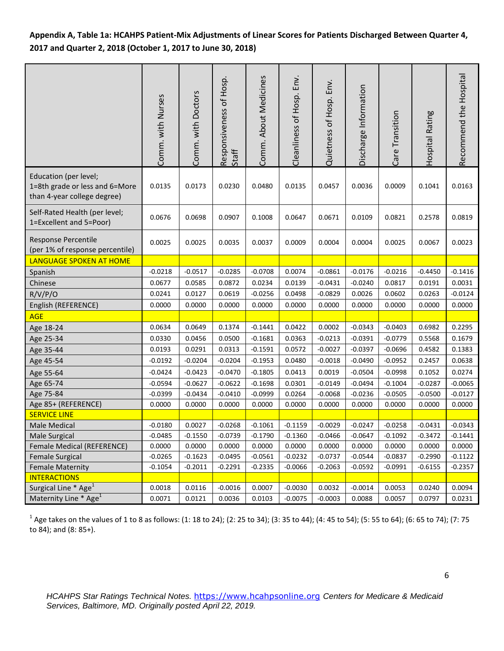## **Appendix A, Table 1a: HCAHPS Patient-Mix Adjustments of Linear Scores for Patients Discharged Between Quarter 4, 2017 and Quarter 2, 2018 (October 1, 2017 to June 30, 2018)**

|                                                                                        | Comm. with Nurses | Comm. with Doctors | Responsiveness of Hosp.<br>Staff | Comm. About Medicines | Env.<br>Cleanliness of Hosp. | Quietness of Hosp. Env. | Discharge Information | Care Transition | Hospital Rating | Recommend the Hospital |
|----------------------------------------------------------------------------------------|-------------------|--------------------|----------------------------------|-----------------------|------------------------------|-------------------------|-----------------------|-----------------|-----------------|------------------------|
| Education (per level;<br>1=8th grade or less and 6=More<br>than 4-year college degree) | 0.0135            | 0.0173             | 0.0230                           | 0.0480                | 0.0135                       | 0.0457                  | 0.0036                | 0.0009          | 0.1041          | 0.0163                 |
| Self-Rated Health (per level;<br>1=Excellent and 5=Poor)                               | 0.0676            | 0.0698             | 0.0907                           | 0.1008                | 0.0647                       | 0.0671                  | 0.0109                | 0.0821          | 0.2578          | 0.0819                 |
| Response Percentile<br>(per 1% of response percentile)                                 | 0.0025            | 0.0025             | 0.0035                           | 0.0037                | 0.0009                       | 0.0004                  | 0.0004                | 0.0025          | 0.0067          | 0.0023                 |
| LANGUAGE SPOKEN AT HOME                                                                |                   |                    |                                  |                       |                              |                         |                       |                 |                 |                        |
| Spanish                                                                                | $-0.0218$         | $-0.0517$          | $-0.0285$                        | $-0.0708$             | 0.0074                       | $-0.0861$               | $-0.0176$             | $-0.0216$       | $-0.4450$       | $-0.1416$              |
| Chinese                                                                                | 0.0677            | 0.0585             | 0.0872                           | 0.0234                | 0.0139                       | $-0.0431$               | $-0.0240$             | 0.0817          | 0.0191          | 0.0031                 |
| R/V/P/O                                                                                | 0.0241            | 0.0127             | 0.0619                           | $-0.0256$             | 0.0498                       | $-0.0829$               | 0.0026                | 0.0602          | 0.0263          | $-0.0124$              |
| English (REFERENCE)                                                                    | 0.0000            | 0.0000             | 0.0000                           | 0.0000                | 0.0000                       | 0.0000                  | 0.0000                | 0.0000          | 0.0000          | 0.0000                 |
| <b>AGE</b>                                                                             |                   |                    |                                  |                       |                              |                         |                       |                 |                 |                        |
| Age 18-24                                                                              | 0.0634            | 0.0649             | 0.1374                           | $-0.1441$             | 0.0422                       | 0.0002                  | $-0.0343$             | $-0.0403$       | 0.6982          | 0.2295                 |
| Age 25-34                                                                              | 0.0330            | 0.0456             | 0.0500                           | $-0.1681$             | 0.0363                       | $-0.0213$               | $-0.0391$             | $-0.0779$       | 0.5568          | 0.1679                 |
| Age 35-44                                                                              | 0.0193            | 0.0291             | 0.0313                           | $-0.1591$             | 0.0572                       | $-0.0027$               | $-0.0397$             | $-0.0696$       | 0.4582          | 0.1383                 |
| Age 45-54                                                                              | $-0.0192$         | $-0.0204$          | $-0.0204$                        | $-0.1953$             | 0.0480                       | $-0.0018$               | $-0.0490$             | $-0.0952$       | 0.2457          | 0.0638                 |
| Age 55-64                                                                              | $-0.0424$         | $-0.0423$          | $-0.0470$                        | $-0.1805$             | 0.0413                       | 0.0019                  | $-0.0504$             | $-0.0998$       | 0.1052          | 0.0274                 |
| Age 65-74                                                                              | $-0.0594$         | $-0.0627$          | $-0.0622$                        | $-0.1698$             | 0.0301                       | $-0.0149$               | $-0.0494$             | $-0.1004$       | $-0.0287$       | $-0.0065$              |
| Age 75-84                                                                              | $-0.0399$         | $-0.0434$          | $-0.0410$                        | $-0.0999$             | 0.0264                       | $-0.0068$               | $-0.0236$             | $-0.0505$       | $-0.0500$       | $-0.0127$              |
| Age 85+ (REFERENCE)                                                                    | 0.0000            | 0.0000             | 0.0000                           | 0.0000                | 0.0000                       | 0.0000                  | 0.0000                | 0.0000          | 0.0000          | 0.0000                 |
| <b>SERVICE LINE</b>                                                                    |                   |                    |                                  |                       |                              |                         |                       |                 |                 |                        |
| Male Medical                                                                           | $-0.0180$         | 0.0027             | $-0.0268$                        | $-0.1061$             | $-0.1159$                    | $-0.0029$               | $-0.0247$             | $-0.0258$       | $-0.0431$       | $-0.0343$              |
| Male Surgical                                                                          | $-0.0485$         | $-0.1550$          | $-0.0739$                        | $-0.1790$             | $-0.1360$                    | $-0.0466$               | $-0.0647$             | $-0.1092$       | $-0.3472$       | $-0.1441$              |
| Female Medical (REFERENCE)                                                             | 0.0000            | 0.0000             | 0.0000                           | 0.0000                | 0.0000                       | 0.0000                  | 0.0000                | 0.0000          | 0.0000          | 0.0000                 |
| <b>Female Surgical</b>                                                                 | $-0.0265$         | $-0.1623$          | $-0.0495$                        | $-0.0561$             | $-0.0232$                    | $-0.0737$               | $-0.0544$             | $-0.0837$       | $-0.2990$       | $-0.1122$              |
| <b>Female Maternity</b>                                                                | $-0.1054$         | $-0.2011$          | $-0.2291$                        | $-0.2335$             | $-0.0066$                    | $-0.2063$               | $-0.0592$             | $-0.0991$       | $-0.6155$       | $-0.2357$              |
| <b>INTERACTIONS</b>                                                                    |                   |                    |                                  |                       |                              |                         |                       |                 |                 |                        |
| Surgical Line $*$ Age <sup>1</sup>                                                     | 0.0018            | 0.0116             | $-0.0016$                        | 0.0007                | $-0.0030$                    | 0.0032                  | $-0.0014$             | 0.0053          | 0.0240          | 0.0094                 |
| Maternity Line * Age <sup>1</sup>                                                      | 0.0071            | 0.0121             | 0.0036                           | 0.0103                | $-0.0075$                    | $-0.0003$               | 0.0088                | 0.0057          | 0.0797          | 0.0231                 |

 $^{\text{1}}$  Age takes on the values of 1 to 8 as follows: (1: 18 to 24); (2: 25 to 34); (3: 35 to 44); (4: 45 to 54); (5: 55 to 64); (6: 65 to 74); (7: 75 to 84); and (8: 85+).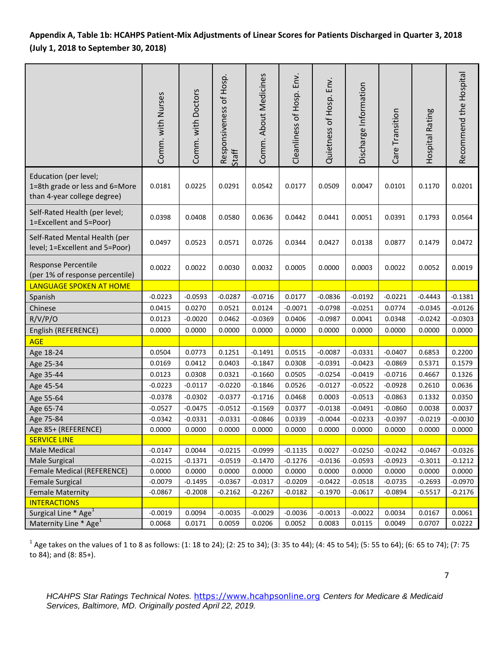## **Appendix A, Table 1b: HCAHPS Patient-Mix Adjustments of Linear Scores for Patients Discharged in Quarter 3, 2018 (July 1, 2018 to September 30, 2018)**

|                                                                                        | Comm. with Nurses | Comm. with Doctors | Responsiveness of Hosp.<br>Staff | Comm. About Medicines | Cleanliness of Hosp. Env. | Quietness of Hosp. Env. | Discharge Information | Care Transition | Hospital Rating | Recommend the Hospital |
|----------------------------------------------------------------------------------------|-------------------|--------------------|----------------------------------|-----------------------|---------------------------|-------------------------|-----------------------|-----------------|-----------------|------------------------|
| Education (per level;<br>1=8th grade or less and 6=More<br>than 4-year college degree) | 0.0181            | 0.0225             | 0.0291                           | 0.0542                | 0.0177                    | 0.0509                  | 0.0047                | 0.0101          | 0.1170          | 0.0201                 |
| Self-Rated Health (per level;<br>1=Excellent and 5=Poor)                               | 0.0398            | 0.0408             | 0.0580                           | 0.0636                | 0.0442                    | 0.0441                  | 0.0051                | 0.0391          | 0.1793          | 0.0564                 |
| Self-Rated Mental Health (per<br>level; 1=Excellent and 5=Poor)                        | 0.0497            | 0.0523             | 0.0571                           | 0.0726                | 0.0344                    | 0.0427                  | 0.0138                | 0.0877          | 0.1479          | 0.0472                 |
| Response Percentile<br>(per 1% of response percentile)                                 | 0.0022            | 0.0022             | 0.0030                           | 0.0032                | 0.0005                    | 0.0000                  | 0.0003                | 0.0022          | 0.0052          | 0.0019                 |
| <b>LANGUAGE SPOKEN AT HOME</b>                                                         |                   |                    |                                  |                       |                           |                         |                       |                 |                 |                        |
| Spanish                                                                                | $-0.0223$         | $-0.0593$          | $-0.0287$                        | $-0.0716$             | 0.0177                    | $-0.0836$               | $-0.0192$             | $-0.0221$       | $-0.4443$       | $-0.1381$              |
| Chinese                                                                                | 0.0415            | 0.0270             | 0.0521                           | 0.0124                | $-0.0071$                 | $-0.0798$               | $-0.0251$             | 0.0774          | $-0.0345$       | $-0.0126$              |
| R/V/P/O                                                                                | 0.0123            | $-0.0020$          | 0.0462                           | $-0.0369$             | 0.0406                    | $-0.0987$               | 0.0041                | 0.0348          | $-0.0242$       | $-0.0303$              |
| English (REFERENCE)                                                                    | 0.0000            | 0.0000             | 0.0000                           | 0.0000                | 0.0000                    | 0.0000                  | 0.0000                | 0.0000          | 0.0000          | 0.0000                 |
| <b>AGE</b>                                                                             |                   |                    |                                  |                       |                           |                         |                       |                 |                 |                        |
| Age 18-24                                                                              | 0.0504            | 0.0773             | 0.1251                           | $-0.1491$             | 0.0515                    | $-0.0087$               | $-0.0331$             | $-0.0407$       | 0.6853          | 0.2200                 |
| Age 25-34                                                                              | 0.0169            | 0.0412             | 0.0403                           | $-0.1847$             | 0.0308                    | $-0.0391$               | $-0.0423$             | $-0.0869$       | 0.5371          | 0.1579                 |
| Age 35-44                                                                              | 0.0123            | 0.0308             | 0.0321                           | $-0.1660$             | 0.0505                    | $-0.0254$               | $-0.0419$             | $-0.0716$       | 0.4667          | 0.1326                 |
| Age 45-54                                                                              | $-0.0223$         | $-0.0117$          | $-0.0220$                        | $-0.1846$             | 0.0526                    | $-0.0127$               | $-0.0522$             | $-0.0928$       | 0.2610          | 0.0636                 |
| Age 55-64                                                                              | $-0.0378$         | $-0.0302$          | $-0.0377$                        | $-0.1716$             | 0.0468                    | 0.0003                  | $-0.0513$             | $-0.0863$       | 0.1332          | 0.0350                 |
| Age 65-74                                                                              | $-0.0527$         | $-0.0475$          | $-0.0512$                        | $-0.1569$             | 0.0377                    | $-0.0138$               | $-0.0491$             | $-0.0860$       | 0.0038          | 0.0037                 |
| Age 75-84                                                                              | $-0.0342$         | $-0.0331$          | $-0.0331$                        | $-0.0846$             | 0.0339                    | $-0.0044$               | $-0.0233$             | $-0.0397$       | $-0.0219$       | $-0.0030$              |
| Age 85+ (REFERENCE)                                                                    | 0.0000            | 0.0000             | 0.0000                           | 0.0000                | 0.0000                    | 0.0000                  | 0.0000                | 0.0000          | 0.0000          | 0.0000                 |
| <b>SERVICE LINE</b>                                                                    |                   |                    |                                  |                       |                           |                         |                       |                 |                 |                        |
| Male Medical                                                                           | $-0.0147$         | 0.0044             | $-0.0215$                        | $-0.0999$             | $-0.1135$                 | 0.0027                  | $-0.0250$             | $-0.0242$       | $-0.0467$       | $-0.0326$              |
| Male Surgical                                                                          | $-0.0215$         | $-0.1371$          | $-0.0519$                        | $-0.1470$             | $-0.1276$                 | $-0.0136$               | $-0.0593$             | $-0.0923$       | $-0.3011$       | $-0.1212$              |
| Female Medical (REFERENCE)                                                             | 0.0000            | 0.0000             | 0.0000                           | 0.0000                | 0.0000                    | 0.0000                  | 0.0000                | 0.0000          | 0.0000          | 0.0000                 |
| <b>Female Surgical</b>                                                                 | $-0.0079$         | $-0.1495$          | $-0.0367$                        | $-0.0317$             | $-0.0209$                 | $-0.0422$               | $-0.0518$             | $-0.0735$       | $-0.2693$       | $-0.0970$              |
| <b>Female Maternity</b>                                                                | $-0.0867$         | $-0.2008$          | $-0.2162$                        | $-0.2267$             | $-0.0182$                 | $-0.1970$               | $-0.0617$             | $-0.0894$       | $-0.5517$       | $-0.2176$              |
| <b>INTERACTIONS</b>                                                                    |                   |                    |                                  |                       |                           |                         |                       |                 |                 |                        |
| Surgical Line * Age <sup>1</sup>                                                       | $-0.0019$         | 0.0094             | $-0.0035$                        | $-0.0029$             | $-0.0036$                 | $-0.0013$               | $-0.0022$             | 0.0034          | 0.0167          | 0.0061                 |
| Maternity Line * Age <sup>1</sup>                                                      | 0.0068            | 0.0171             | 0.0059                           | 0.0206                | 0.0052                    | 0.0083                  | 0.0115                | 0.0049          | 0.0707          | 0.0222                 |

 $^1$  Age takes on the values of 1 to 8 as follows: (1: 18 to 24); (2: 25 to 34); (3: 35 to 44); (4: 45 to 54); (5: 55 to 64); (6: 65 to 74); (7: 75 to 84); and (8: 85+).

*HCAHPS Star Ratings Technical Notes.* [https://www.hcahpsonline.org](https://www.hcahpsonline.org/) *Centers for Medicare & Medicaid Services, Baltimore, MD. Originally posted April 22, 2019.*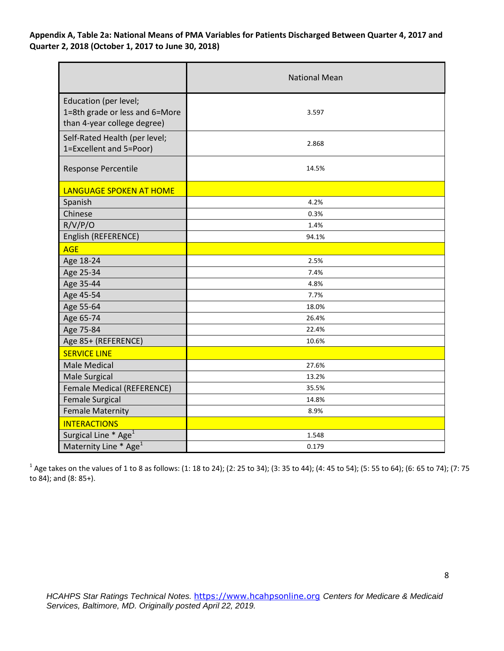### **Appendix A, Table 2a: National Means of PMA Variables for Patients Discharged Between Quarter 4, 2017 and Quarter 2, 2018 (October 1, 2017 to June 30, 2018)**

|                                                                                        | <b>National Mean</b> |
|----------------------------------------------------------------------------------------|----------------------|
| Education (per level;<br>1=8th grade or less and 6=More<br>than 4-year college degree) | 3.597                |
| Self-Rated Health (per level;<br>1=Excellent and 5=Poor)                               | 2.868                |
| Response Percentile                                                                    | 14.5%                |
| <b>LANGUAGE SPOKEN AT HOME</b>                                                         |                      |
| Spanish                                                                                | 4.2%                 |
| Chinese                                                                                | 0.3%                 |
| R/V/P/O                                                                                | 1.4%                 |
| English (REFERENCE)                                                                    | 94.1%                |
| <b>AGE</b>                                                                             |                      |
| Age 18-24                                                                              | 2.5%                 |
| Age 25-34                                                                              | 7.4%                 |
| Age 35-44                                                                              | 4.8%                 |
| Age 45-54                                                                              | 7.7%                 |
| Age 55-64                                                                              | 18.0%                |
| Age 65-74                                                                              | 26.4%                |
| Age 75-84                                                                              | 22.4%                |
| Age 85+ (REFERENCE)                                                                    | 10.6%                |
| <b>SERVICE LINE</b>                                                                    |                      |
| <b>Male Medical</b>                                                                    | 27.6%                |
| Male Surgical                                                                          | 13.2%                |
| Female Medical (REFERENCE)                                                             | 35.5%                |
| <b>Female Surgical</b>                                                                 | 14.8%                |
| <b>Female Maternity</b>                                                                | 8.9%                 |
| <b>INTERACTIONS</b>                                                                    |                      |
| Surgical Line * Age <sup>1</sup>                                                       | 1.548                |
| Maternity Line * Age <sup>1</sup>                                                      | 0.179                |

 $^1$  Age takes on the values of 1 to 8 as follows: (1: 18 to 24); (2: 25 to 34); (3: 35 to 44); (4: 45 to 54); (5: 55 to 64); (6: 65 to 74); (7: 75 to 84); and (8: 85+).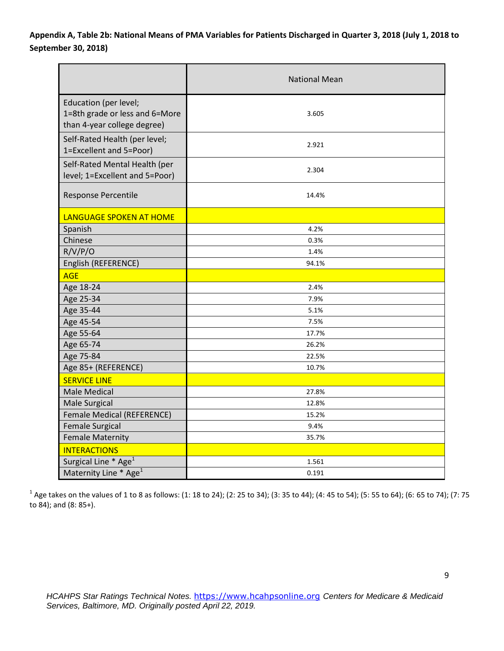## **Appendix A, Table 2b: National Means of PMA Variables for Patients Discharged in Quarter 3, 2018 (July 1, 2018 to September 30, 2018)**

|                                                                                        | <b>National Mean</b> |  |  |  |  |  |
|----------------------------------------------------------------------------------------|----------------------|--|--|--|--|--|
| Education (per level;<br>1=8th grade or less and 6=More<br>than 4-year college degree) | 3.605                |  |  |  |  |  |
| Self-Rated Health (per level;<br>1=Excellent and 5=Poor)                               | 2.921                |  |  |  |  |  |
| Self-Rated Mental Health (per<br>level; 1=Excellent and 5=Poor)                        | 2.304                |  |  |  |  |  |
| Response Percentile                                                                    | 14.4%                |  |  |  |  |  |
| LANGUAGE SPOKEN AT HOME                                                                |                      |  |  |  |  |  |
| Spanish                                                                                | 4.2%                 |  |  |  |  |  |
| Chinese                                                                                | 0.3%                 |  |  |  |  |  |
| R/V/P/O                                                                                | 1.4%                 |  |  |  |  |  |
| English (REFERENCE)                                                                    | 94.1%                |  |  |  |  |  |
| <b>AGE</b>                                                                             |                      |  |  |  |  |  |
| Age 18-24                                                                              | 2.4%                 |  |  |  |  |  |
| Age 25-34                                                                              | 7.9%                 |  |  |  |  |  |
| Age 35-44                                                                              | 5.1%                 |  |  |  |  |  |
| Age 45-54                                                                              | 7.5%                 |  |  |  |  |  |
| Age 55-64                                                                              | 17.7%                |  |  |  |  |  |
| Age 65-74                                                                              | 26.2%                |  |  |  |  |  |
| Age 75-84                                                                              | 22.5%                |  |  |  |  |  |
| Age 85+ (REFERENCE)                                                                    | 10.7%                |  |  |  |  |  |
| <b>SERVICE LINE</b>                                                                    |                      |  |  |  |  |  |
| <b>Male Medical</b>                                                                    | 27.8%                |  |  |  |  |  |
| <b>Male Surgical</b>                                                                   | 12.8%                |  |  |  |  |  |
| Female Medical (REFERENCE)                                                             | 15.2%                |  |  |  |  |  |
| <b>Female Surgical</b>                                                                 | 9.4%                 |  |  |  |  |  |
| <b>Female Maternity</b>                                                                | 35.7%                |  |  |  |  |  |
| <b>INTERACTIONS</b>                                                                    |                      |  |  |  |  |  |
| Surgical Line * Age <sup>1</sup>                                                       | 1.561                |  |  |  |  |  |
| Maternity Line * Age <sup>1</sup>                                                      | 0.191                |  |  |  |  |  |

 $^1$  Age takes on the values of 1 to 8 as follows: (1: 18 to 24); (2: 25 to 34); (3: 35 to 44); (4: 45 to 54); (5: 55 to 64); (6: 65 to 74); (7: 75 to 84); and (8: 85+).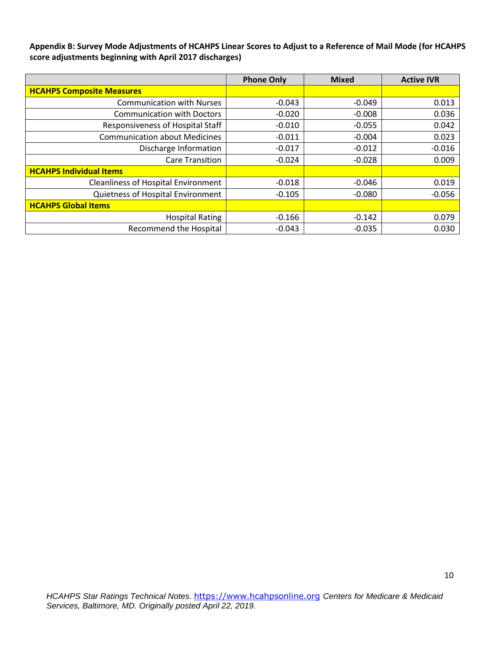**Appendix B: Survey Mode Adjustments of HCAHPS Linear Scores to Adjust to a Reference of Mail Mode (for HCAHPS score adjustments beginning with April 2017 discharges)** 

|                                            | <b>Phone Only</b> | <b>Mixed</b> | <b>Active IVR</b> |
|--------------------------------------------|-------------------|--------------|-------------------|
| <b>HCAHPS Composite Measures</b>           |                   |              |                   |
| <b>Communication with Nurses</b>           | $-0.043$          | $-0.049$     | 0.013             |
| <b>Communication with Doctors</b>          | $-0.020$          | $-0.008$     | 0.036             |
| Responsiveness of Hospital Staff           | $-0.010$          | $-0.055$     | 0.042             |
| <b>Communication about Medicines</b>       | $-0.011$          | $-0.004$     | 0.023             |
| Discharge Information                      | $-0.017$          | $-0.012$     | $-0.016$          |
| <b>Care Transition</b>                     | $-0.024$          | $-0.028$     | 0.009             |
| <b>HCAHPS Individual Items</b>             |                   |              |                   |
| <b>Cleanliness of Hospital Environment</b> | $-0.018$          | $-0.046$     | 0.019             |
| Quietness of Hospital Environment          | $-0.105$          | $-0.080$     | $-0.056$          |
| <b>HCAHPS Global Items</b>                 |                   |              |                   |
| <b>Hospital Rating</b>                     | $-0.166$          | $-0.142$     | 0.079             |
| <b>Recommend the Hospital</b>              | $-0.043$          | $-0.035$     | 0.030             |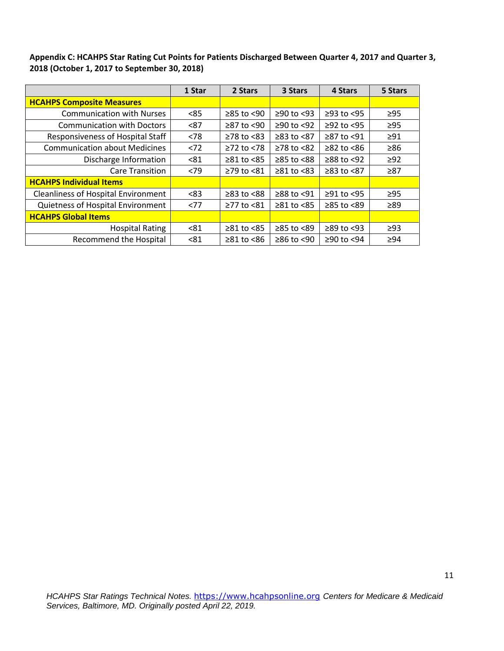**Appendix C: HCAHPS Star Rating Cut Points for Patients Discharged Between Quarter 4, 2017 and Quarter 3, 2018 (October 1, 2017 to September 30, 2018)** 

|                                            | 1 Star | 2 Stars                | 3 Stars          | 4 Stars          | 5 Stars   |
|--------------------------------------------|--------|------------------------|------------------|------------------|-----------|
| <b>HCAHPS Composite Measures</b>           |        |                        |                  |                  |           |
| <b>Communication with Nurses</b>           | < 85   | $≥85$ to <90           | $≥90$ to <93     | $≥93$ to $<95$   | $\geq$ 95 |
| <b>Communication with Doctors</b>          | < 87   | ≥87 to <90             | $≥90$ to <92     | $≥92$ to <95     | $\geq$ 95 |
| Responsiveness of Hospital Staff           | < 78   | $≥78$ to $≤83$         | $≥83$ to $<87$   | ≥87 to <91       | $\geq 91$ |
| <b>Communication about Medicines</b>       | < 72   | $≥72$ to $≤78$         | $≥78$ to $≤82$   | $≥82$ to $≤86$   | $\geq 86$ |
| Discharge Information                      | < 81   | $≥81$ to $≤85$         | $≥85$ to $<88$   | $≥88$ to <92     | $\geq$ 92 |
| <b>Care Transition</b>                     | < 79   | ≥79 to <81             | $\geq 81$ to <83 | $≥83$ to $<87$   | $\geq 87$ |
| <b>HCAHPS Individual Items</b>             |        |                        |                  |                  |           |
| <b>Cleanliness of Hospital Environment</b> | < 83   | $\geq$ 83 to <88       | ≥88 to <91       | $\geq$ 91 to <95 | $\geq$ 95 |
| Quietness of Hospital Environment          | <77    | $≥77$ to $≤81$         | $≥81$ to $≤85$   | $≥85$ to $<89$   | ≥89       |
| <b>HCAHPS Global Items</b>                 |        |                        |                  |                  |           |
| <b>Hospital Rating</b>                     | < 81   | $\geq 81$ to <85       | ≥85 to <89       | $\geq$ 89 to <93 | $\geq$ 93 |
| <b>Recommend the Hospital</b>              | < 81   | $\geq 81$ to $\leq 86$ | $\geq 86$ to <90 | ≥90 to <94       | $\geq 94$ |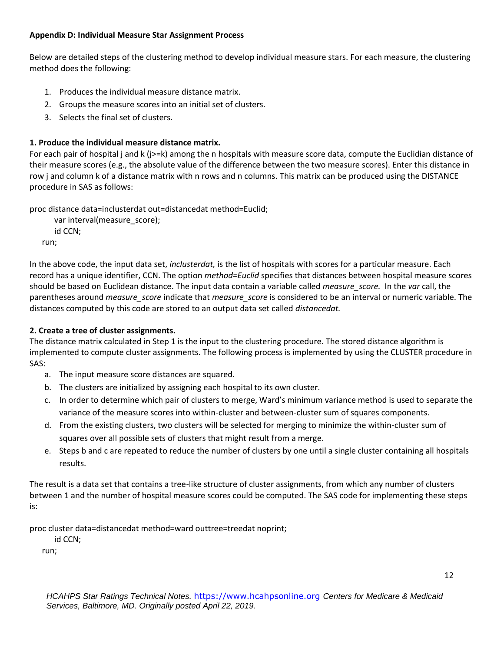### **Appendix D: Individual Measure Star Assignment Process**

Below are detailed steps of the clustering method to develop individual measure stars. For each measure, the clustering method does the following:

- 1. Produces the individual measure distance matrix.
- 2. Groups the measure scores into an initial set of clusters.
- 3. Selects the final set of clusters.

## **1. Produce the individual measure distance matrix.**

For each pair of hospital j and k (j>=k) among the n hospitals with measure score data, compute the Euclidian distance of their measure scores (e.g., the absolute value of the difference between the two measure scores). Enter this distance in row j and column k of a distance matrix with n rows and n columns. This matrix can be produced using the DISTANCE procedure in SAS as follows:

proc distance data=inclusterdat out=distancedat method=Euclid;

```
var interval(measure_score);
   id CCN;
run;
```
In the above code, the input data set, *inclusterdat,* is the list of hospitals with scores for a particular measure. Each record has a unique identifier, CCN. The option *method=Euclid* specifies that distances between hospital measure scores should be based on Euclidean distance. The input data contain a variable called *measure\_score.* In the *var* call, the parentheses around *measure\_score* indicate that *measure\_score* is considered to be an interval or numeric variable. The distances computed by this code are stored to an output data set called *distancedat.* 

## **2. Create a tree of cluster assignments.**

The distance matrix calculated in Step 1 is the input to the clustering procedure. The stored distance algorithm is implemented to compute cluster assignments. The following process is implemented by using the CLUSTER procedure in SAS:

- a. The input measure score distances are squared.
- b. The clusters are initialized by assigning each hospital to its own cluster.
- c. In order to determine which pair of clusters to merge, Ward's minimum variance method is used to separate the variance of the measure scores into within-cluster and between-cluster sum of squares components.
- d. From the existing clusters, two clusters will be selected for merging to minimize the within-cluster sum of squares over all possible sets of clusters that might result from a merge.
- e. Steps b and c are repeated to reduce the number of clusters by one until a single cluster containing all hospitals results.

The result is a data set that contains a tree-like structure of cluster assignments, from which any number of clusters between 1 and the number of hospital measure scores could be computed. The SAS code for implementing these steps is:

proc cluster data=distancedat method=ward outtree=treedat noprint;

id CCN;

run;